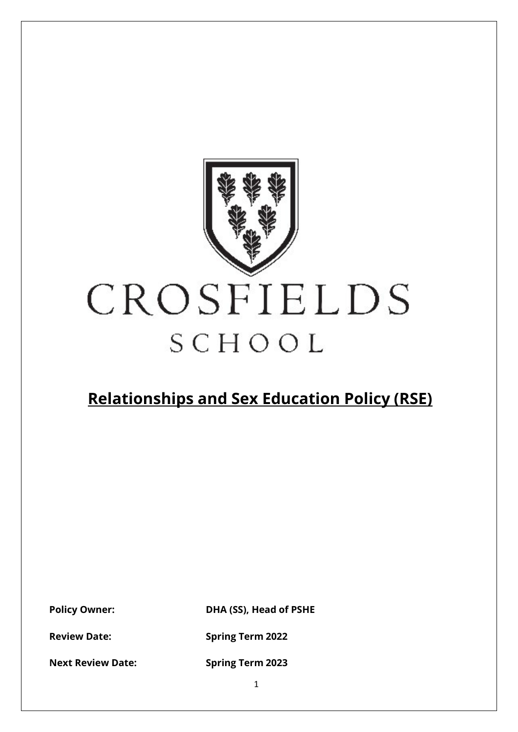

# CROSFIELDS SCHOOL

## **Relationships and Sex Education Policy (RSE)**

**Policy Owner: DHA (SS), Head of PSHE**

**Review Date: Spring Term 2022** 

**Next Review Date: Spring Term 2023**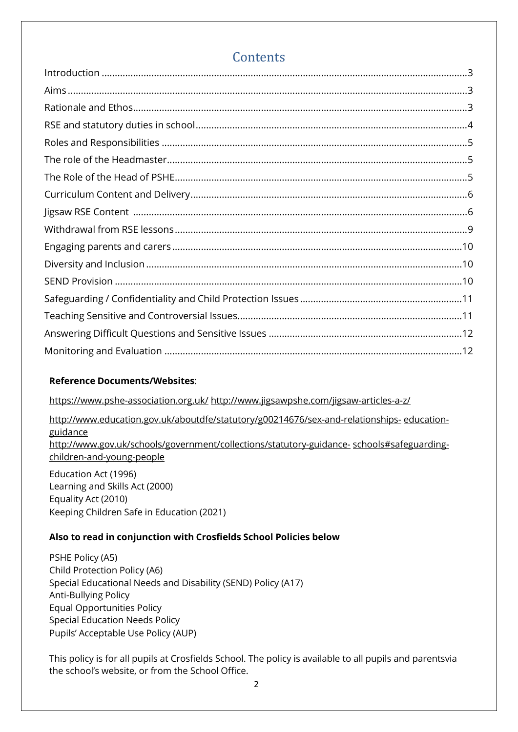### **Contents**

#### **Reference Documents/Websites**:

<https://www.pshe-association.org.uk/> <http://www.jigsawpshe.com/jigsaw-articles-a-z/>

[http://www.education.gov.uk/aboutdfe/statutory/g00214676/sex-and-relationships-](http://www.education.gov.uk/aboutdfe/statutory/g00214676/sex-and-relationships-education-guidance) [education](http://www.education.gov.uk/aboutdfe/statutory/g00214676/sex-and-relationships-education-guidance)[guidance](http://www.education.gov.uk/aboutdfe/statutory/g00214676/sex-and-relationships-education-guidance) [http://www.gov.uk/schools/government/collections/statutory-guidance-](http://www.education.gov.uk/schools/guidanceandadvice?f_category=Safeguarding&page=1) [schools#safeguarding](http://www.education.gov.uk/schools/guidanceandadvice?f_category=Safeguarding&page=1)[children-and-young-people](http://www.education.gov.uk/schools/guidanceandadvice?f_category=Safeguarding&page=1)

Education Act (1996) Learning and Skills Act (2000) Equality Act (2010) Keeping Children Safe in Education (2021)

#### **Also to read in conjunction with Crosfields School Policies below**

PSHE Policy (A5) Child Protection Policy (A6) Special Educational Needs and Disability (SEND) Policy (A17) Anti-Bullying Policy Equal Opportunities Policy Special Education Needs Policy Pupils' Acceptable Use Policy (AUP)

This policy is for all pupils at Crosfields School. The policy is available to all pupils and parentsvia the school's website, or from the School Office.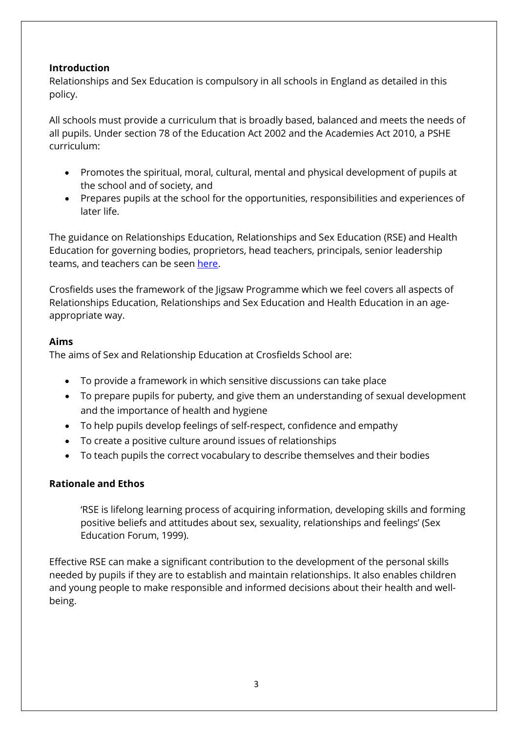#### <span id="page-2-0"></span>**Introduction**

Relationships and Sex Education is compulsory in all schools in England as detailed in this policy.

All schools must provide a curriculum that is broadly based, balanced and meets the needs of all pupils. Under section 78 of the Education Act 2002 and the Academies Act 2010, a PSHE curriculum:

- Promotes the spiritual, moral, cultural, mental and physical development of pupils at the school and of society, and
- Prepares pupils at the school for the opportunities, responsibilities and experiences of later life.

The guidance on Relationships Education, Relationships and Sex Education (RSE) and Health Education for governing bodies, proprietors, head teachers, principals, senior leadership teams, and teachers can be seen [here.](https://assets.publishing.service.gov.uk/government/uploads/system/uploads/attachment_data/file/1019542/Relationships_Education__Relationships_and_Sex_Education__RSE__and_Health_Education.pdf)

Crosfields uses the framework of the Jigsaw Programme which we feel covers all aspects of Relationships Education, Relationships and Sex Education and Health Education in an ageappropriate way.

#### <span id="page-2-1"></span>**Aims**

The aims of Sex and Relationship Education at Crosfields School are:

- To provide a framework in which sensitive discussions can take place
- To prepare pupils for puberty, and give them an understanding of sexual development and the importance of health and hygiene
- To help pupils develop feelings of self-respect, confidence and empathy
- To create a positive culture around issues of relationships
- To teach pupils the correct vocabulary to describe themselves and their bodies

#### <span id="page-2-2"></span>**Rationale and Ethos**

'RSE is lifelong learning process of acquiring information, developing skills and forming positive beliefs and attitudes about sex, sexuality, relationships and feelings' (Sex Education Forum, 1999).

Effective RSE can make a significant contribution to the development of the personal skills needed by pupils if they are to establish and maintain relationships. It also enables children and young people to make responsible and informed decisions about their health and wellbeing.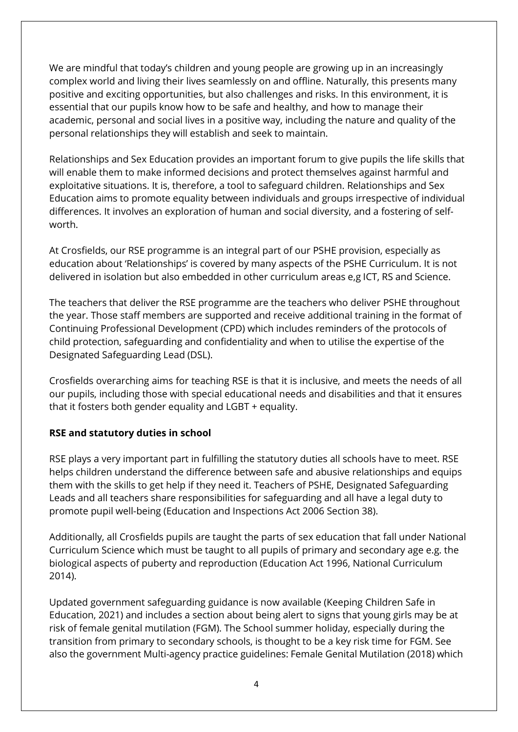We are mindful that today's children and young people are growing up in an increasingly complex world and living their lives seamlessly on and offline. Naturally, this presents many positive and exciting opportunities, but also challenges and risks. In this environment, it is essential that our pupils know how to be safe and healthy, and how to manage their academic, personal and social lives in a positive way, including the nature and quality of the personal relationships they will establish and seek to maintain.

Relationships and Sex Education provides an important forum to give pupils the life skills that will enable them to make informed decisions and protect themselves against harmful and exploitative situations. It is, therefore, a tool to safeguard children. Relationships and Sex Education aims to promote equality between individuals and groups irrespective of individual differences. It involves an exploration of human and social diversity, and a fostering of selfworth.

At Crosfields, our RSE programme is an integral part of our PSHE provision, especially as education about 'Relationships' is covered by many aspects of the PSHE Curriculum. It is not delivered in isolation but also embedded in other curriculum areas e,g ICT, RS and Science.

The teachers that deliver the RSE programme are the teachers who deliver PSHE throughout the year. Those staff members are supported and receive additional training in the format of Continuing Professional Development (CPD) which includes reminders of the protocols of child protection, safeguarding and confidentiality and when to utilise the expertise of the Designated Safeguarding Lead (DSL).

Crosfields overarching aims for teaching RSE is that it is inclusive, and meets the needs of all our pupils, including those with special educational needs and disabilities and that it ensures that it fosters both gender equality and LGBT + equality.

#### <span id="page-3-0"></span>**RSE and statutory duties in school**

RSE plays a very important part in fulfilling the statutory duties all schools have to meet. RSE helps children understand the difference between safe and abusive relationships and equips them with the skills to get help if they need it. Teachers of PSHE, Designated Safeguarding Leads and all teachers share responsibilities for safeguarding and all have a legal duty to promote pupil well-being (Education and Inspections Act 2006 Section 38).

Additionally, all Crosfields pupils are taught the parts of sex education that fall under National Curriculum Science which must be taught to all pupils of primary and secondary age e.g. the biological aspects of puberty and reproduction (Education Act 1996, National Curriculum 2014).

Updated government safeguarding guidance is now available (Keeping Children Safe in Education, 2021) and includes a section about being alert to signs that young girls may be at risk of female genital mutilation (FGM). The School summer holiday, especially during the transition from primary to secondary schools, is thought to be a key risk time for FGM. See also the government Multi-agency practice guidelines: Female Genital Mutilation (2018) which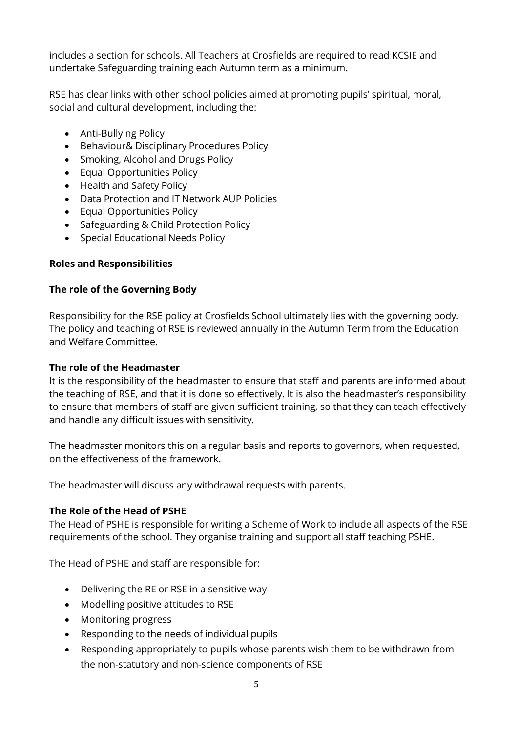includes a section for schools. All Teachers at Crosfields are required to read KCSIE and undertake Safeguarding training each Autumn term as a minimum.

RSE has clear links with other school policies aimed at promoting pupils' spiritual, moral, social and cultural development, including the:

- Anti-Bullying Policy
- Behaviour& Disciplinary Procedures Policy
- Smoking, Alcohol and Drugs Policy
- Equal Opportunities Policy
- Health and Safety Policy
- Data Protection and IT Network AUP Policies
- Equal Opportunities Policy
- Safeguarding & Child Protection Policy
- Special Educational Needs Policy

#### <span id="page-4-0"></span>**Roles and Responsibilities**

#### **The role of the Governing Body**

Responsibility for the RSE policy at Crosfields School ultimately lies with the governing body. The policy and teaching of RSE is reviewed annually in the Autumn Term from the Education and Welfare Committee.

#### <span id="page-4-1"></span>**The role of the Headmaster**

It is the responsibility of the headmaster to ensure that staff and parents are informed about the teaching of RSE, and that it is done so effectively. It is also the headmaster's responsibility to ensure that members of staff are given sufficient training, so that they can teach effectively and handle any difficult issues with sensitivity.

The headmaster monitors this on a regular basis and reports to governors, when requested, on the effectiveness of the framework.

The headmaster will discuss any withdrawal requests with parents.

#### <span id="page-4-2"></span>**The Role of the Head of PSHE**

The Head of PSHE is responsible for writing a Scheme of Work to include all aspects of the RSE requirements of the school. They organise training and support all staff teaching PSHE.

The Head of PSHE and staff are responsible for:

- Delivering the RE or RSE in a sensitive way
- Modelling positive attitudes to RSE
- Monitoring progress
- Responding to the needs of individual pupils
- Responding appropriately to pupils whose parents wish them to be withdrawn from the non-statutory and non-science components of RSE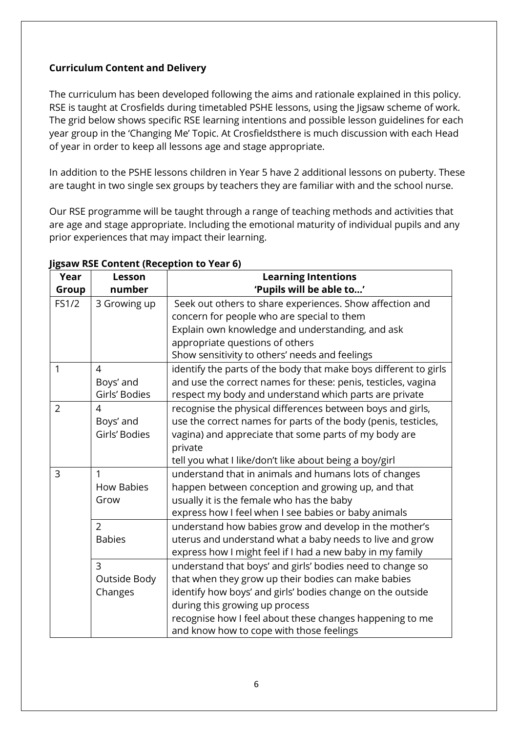#### <span id="page-5-0"></span>**Curriculum Content and Delivery**

The curriculum has been developed following the aims and rationale explained in this policy. RSE is taught at Crosfields during timetabled PSHE lessons, using the Jigsaw scheme of work. The grid below shows specific RSE learning intentions and possible lesson guidelines for each year group in the 'Changing Me' Topic. At Crosfieldsthere is much discussion with each Head of year in order to keep all lessons age and stage appropriate.

In addition to the PSHE lessons children in Year 5 have 2 additional lessons on puberty. These are taught in two single sex groups by teachers they are familiar with and the school nurse.

Our RSE programme will be taught through a range of teaching methods and activities that are age and stage appropriate. Including the emotional maturity of individual pupils and any prior experiences that may impact their learning.

| Year           | Lesson            | <b>Learning Intentions</b>                                       |
|----------------|-------------------|------------------------------------------------------------------|
| Group          | number            | 'Pupils will be able to'                                         |
| FS1/2          | 3 Growing up      | Seek out others to share experiences. Show affection and         |
|                |                   | concern for people who are special to them                       |
|                |                   | Explain own knowledge and understanding, and ask                 |
|                |                   | appropriate questions of others                                  |
|                |                   | Show sensitivity to others' needs and feelings                   |
| $\mathbf{1}$   | $\overline{4}$    | identify the parts of the body that make boys different to girls |
|                | Boys' and         | and use the correct names for these: penis, testicles, vagina    |
|                | Girls' Bodies     | respect my body and understand which parts are private           |
| $\overline{2}$ | 4                 | recognise the physical differences between boys and girls,       |
|                | Boys' and         | use the correct names for parts of the body (penis, testicles,   |
|                | Girls' Bodies     | vagina) and appreciate that some parts of my body are            |
|                |                   | private                                                          |
|                |                   | tell you what I like/don't like about being a boy/girl           |
| 3              | 1                 | understand that in animals and humans lots of changes            |
|                | <b>How Babies</b> | happen between conception and growing up, and that               |
|                | Grow              | usually it is the female who has the baby                        |
|                |                   | express how I feel when I see babies or baby animals             |
|                | $\overline{2}$    | understand how babies grow and develop in the mother's           |
|                | <b>Babies</b>     | uterus and understand what a baby needs to live and grow         |
|                |                   | express how I might feel if I had a new baby in my family        |
|                | 3                 | understand that boys' and girls' bodies need to change so        |
|                | Outside Body      | that when they grow up their bodies can make babies              |
|                | Changes           | identify how boys' and girls' bodies change on the outside       |
|                |                   | during this growing up process                                   |
|                |                   | recognise how I feel about these changes happening to me         |
|                |                   | and know how to cope with those feelings                         |

#### <span id="page-5-1"></span>**Jigsaw RSE Content (Reception to Year 6)**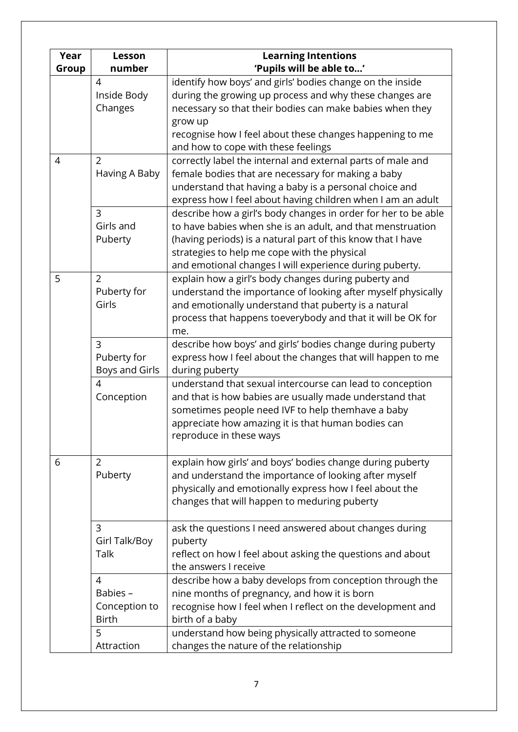| Year<br>Group  | Lesson<br>number                                            | <b>Learning Intentions</b><br>'Pupils will be able to'                                                                                                                                                                                                                                                 |
|----------------|-------------------------------------------------------------|--------------------------------------------------------------------------------------------------------------------------------------------------------------------------------------------------------------------------------------------------------------------------------------------------------|
|                | 4<br>Inside Body<br>Changes                                 | identify how boys' and girls' bodies change on the inside<br>during the growing up process and why these changes are<br>necessary so that their bodies can make babies when they<br>grow up<br>recognise how I feel about these changes happening to me<br>and how to cope with these feelings         |
| $\overline{4}$ | $\overline{2}$<br>Having A Baby                             | correctly label the internal and external parts of male and<br>female bodies that are necessary for making a baby<br>understand that having a baby is a personal choice and<br>express how I feel about having children when I am an adult                                                             |
|                | $\overline{3}$<br>Girls and<br>Puberty                      | describe how a girl's body changes in order for her to be able<br>to have babies when she is an adult, and that menstruation<br>(having periods) is a natural part of this know that I have<br>strategies to help me cope with the physical<br>and emotional changes I will experience during puberty. |
| 5              | $\overline{2}$<br>Puberty for<br>Girls                      | explain how a girl's body changes during puberty and<br>understand the importance of looking after myself physically<br>and emotionally understand that puberty is a natural<br>process that happens toeverybody and that it will be OK for<br>me.                                                     |
|                | $\overline{3}$<br>Puberty for<br>Boys and Girls             | describe how boys' and girls' bodies change during puberty<br>express how I feel about the changes that will happen to me<br>during puberty                                                                                                                                                            |
|                | 4<br>Conception                                             | understand that sexual intercourse can lead to conception<br>and that is how babies are usually made understand that<br>sometimes people need IVF to help themhave a baby<br>appreciate how amazing it is that human bodies can<br>reproduce in these ways                                             |
| 6              | 2<br>Puberty                                                | explain how girls' and boys' bodies change during puberty<br>and understand the importance of looking after myself<br>physically and emotionally express how I feel about the<br>changes that will happen to meduring puberty                                                                          |
|                | 3<br>Girl Talk/Boy<br>Talk                                  | ask the questions I need answered about changes during<br>puberty<br>reflect on how I feel about asking the questions and about<br>the answers I receive                                                                                                                                               |
|                | $\overline{4}$<br>Babies -<br>Conception to<br><b>Birth</b> | describe how a baby develops from conception through the<br>nine months of pregnancy, and how it is born<br>recognise how I feel when I reflect on the development and<br>birth of a baby                                                                                                              |
|                | 5<br>Attraction                                             | understand how being physically attracted to someone<br>changes the nature of the relationship                                                                                                                                                                                                         |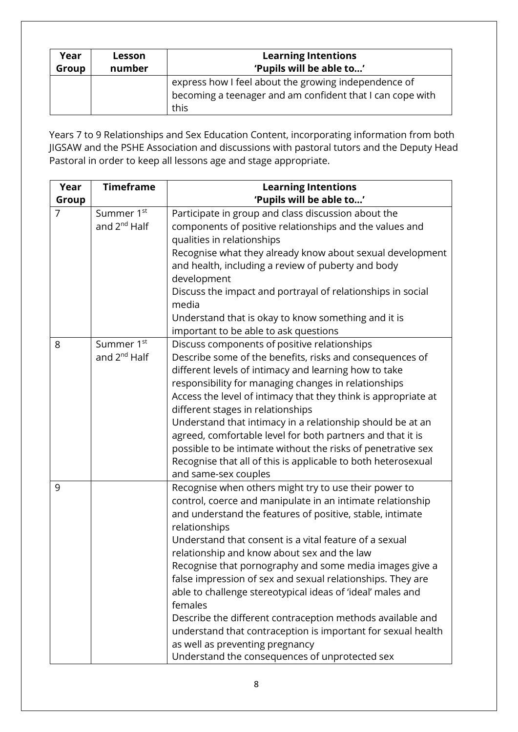| Year<br>Group | Lesson<br>number | <b>Learning Intentions</b><br>'Pupils will be able to'    |
|---------------|------------------|-----------------------------------------------------------|
|               |                  | express how I feel about the growing independence of      |
|               |                  | becoming a teenager and am confident that I can cope with |
|               |                  | this                                                      |

Years 7 to 9 Relationships and Sex Education Content, incorporating information from both JIGSAW and the PSHE Association and discussions with pastoral tutors and the Deputy Head Pastoral in order to keep all lessons age and stage appropriate.

| Year           | <b>Timeframe</b>         | <b>Learning Intentions</b>                                     |
|----------------|--------------------------|----------------------------------------------------------------|
| Group          |                          | 'Pupils will be able to'                                       |
| $\overline{7}$ | Summer 1 <sup>st</sup>   | Participate in group and class discussion about the            |
|                | and 2 <sup>nd</sup> Half | components of positive relationships and the values and        |
|                |                          | qualities in relationships                                     |
|                |                          | Recognise what they already know about sexual development      |
|                |                          | and health, including a review of puberty and body             |
|                |                          | development                                                    |
|                |                          | Discuss the impact and portrayal of relationships in social    |
|                |                          | media                                                          |
|                |                          | Understand that is okay to know something and it is            |
|                |                          | important to be able to ask questions                          |
| 8              | Summer 1 <sup>st</sup>   | Discuss components of positive relationships                   |
|                | and $2^{nd}$ Half        | Describe some of the benefits, risks and consequences of       |
|                |                          | different levels of intimacy and learning how to take          |
|                |                          | responsibility for managing changes in relationships           |
|                |                          | Access the level of intimacy that they think is appropriate at |
|                |                          | different stages in relationships                              |
|                |                          | Understand that intimacy in a relationship should be at an     |
|                |                          | agreed, comfortable level for both partners and that it is     |
|                |                          | possible to be intimate without the risks of penetrative sex   |
|                |                          | Recognise that all of this is applicable to both heterosexual  |
|                |                          | and same-sex couples                                           |
| 9              |                          | Recognise when others might try to use their power to          |
|                |                          | control, coerce and manipulate in an intimate relationship     |
|                |                          | and understand the features of positive, stable, intimate      |
|                |                          | relationships                                                  |
|                |                          | Understand that consent is a vital feature of a sexual         |
|                |                          | relationship and know about sex and the law                    |
|                |                          | Recognise that pornography and some media images give a        |
|                |                          | false impression of sex and sexual relationships. They are     |
|                |                          | able to challenge stereotypical ideas of 'ideal' males and     |
|                |                          | females                                                        |
|                |                          | Describe the different contraception methods available and     |
|                |                          | understand that contraception is important for sexual health   |
|                |                          | as well as preventing pregnancy                                |
|                |                          | Understand the consequences of unprotected sex                 |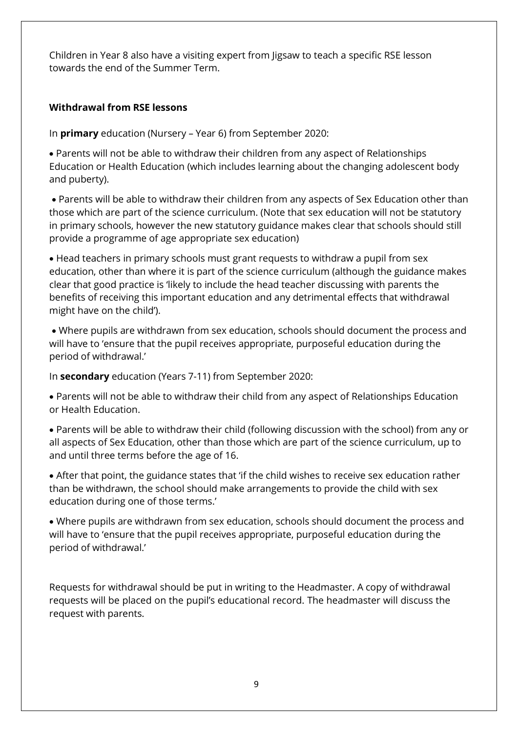Children in Year 8 also have a visiting expert from Jigsaw to teach a specific RSE lesson towards the end of the Summer Term.

#### <span id="page-8-0"></span>**Withdrawal from RSE lessons**

In **primary** education (Nursery – Year 6) from September 2020:

• Parents will not be able to withdraw their children from any aspect of Relationships Education or Health Education (which includes learning about the changing adolescent body and puberty).

• Parents will be able to withdraw their children from any aspects of Sex Education other than those which are part of the science curriculum. (Note that sex education will not be statutory in primary schools, however the new statutory guidance makes clear that schools should still provide a programme of age appropriate sex education)

• Head teachers in primary schools must grant requests to withdraw a pupil from sex education, other than where it is part of the science curriculum (although the guidance makes clear that good practice is 'likely to include the head teacher discussing with parents the benefits of receiving this important education and any detrimental effects that withdrawal might have on the child').

• Where pupils are withdrawn from sex education, schools should document the process and will have to 'ensure that the pupil receives appropriate, purposeful education during the period of withdrawal.'

In **secondary** education (Years 7-11) from September 2020:

• Parents will not be able to withdraw their child from any aspect of Relationships Education or Health Education.

• Parents will be able to withdraw their child (following discussion with the school) from any or all aspects of Sex Education, other than those which are part of the science curriculum, up to and until three terms before the age of 16.

• After that point, the guidance states that 'if the child wishes to receive sex education rather than be withdrawn, the school should make arrangements to provide the child with sex education during one of those terms.'

• Where pupils are withdrawn from sex education, schools should document the process and will have to 'ensure that the pupil receives appropriate, purposeful education during the period of withdrawal.'

Requests for withdrawal should be put in writing to the Headmaster. A copy of withdrawal requests will be placed on the pupil's educational record. The headmaster will discuss the request with parents.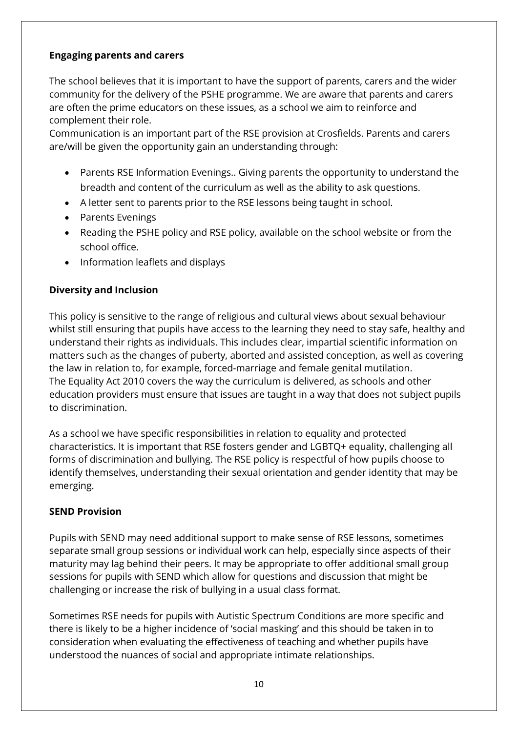#### <span id="page-9-0"></span>**Engaging parents and carers**

The school believes that it is important to have the support of parents, carers and the wider community for the delivery of the PSHE programme. We are aware that parents and carers are often the prime educators on these issues, as a school we aim to reinforce and complement their role.

Communication is an important part of the RSE provision at Crosfields. Parents and carers are/will be given the opportunity gain an understanding through:

- Parents RSE Information Evenings.. Giving parents the opportunity to understand the breadth and content of the curriculum as well as the ability to ask questions.
- A letter sent to parents prior to the RSE lessons being taught in school.
- Parents Evenings
- Reading the PSHE policy and RSE policy, available on the school website or from the school office.
- Information leaflets and displays

#### <span id="page-9-1"></span>**Diversity and Inclusion**

This policy is sensitive to the range of religious and cultural views about sexual behaviour whilst still ensuring that pupils have access to the learning they need to stay safe, healthy and understand their rights as individuals. This includes clear, impartial scientific information on matters such as the changes of puberty, aborted and assisted conception, as well as covering the law in relation to, for example, forced-marriage and female genital mutilation. The Equality Act 2010 covers the way the curriculum is delivered, as schools and other education providers must ensure that issues are taught in a way that does not subject pupils to discrimination.

As a school we have specific responsibilities in relation to equality and protected characteristics. It is important that RSE fosters gender and LGBTQ+ equality, challenging all forms of discrimination and bullying. The RSE policy is respectful of how pupils choose to identify themselves, understanding their sexual orientation and gender identity that may be emerging.

#### <span id="page-9-2"></span>**SEND Provision**

Pupils with SEND may need additional support to make sense of RSE lessons, sometimes separate small group sessions or individual work can help, especially since aspects of their maturity may lag behind their peers. It may be appropriate to offer additional small group sessions for pupils with SEND which allow for questions and discussion that might be challenging or increase the risk of bullying in a usual class format.

Sometimes RSE needs for pupils with Autistic Spectrum Conditions are more specific and there is likely to be a higher incidence of 'social masking' and this should be taken in to consideration when evaluating the effectiveness of teaching and whether pupils have understood the nuances of social and appropriate intimate relationships.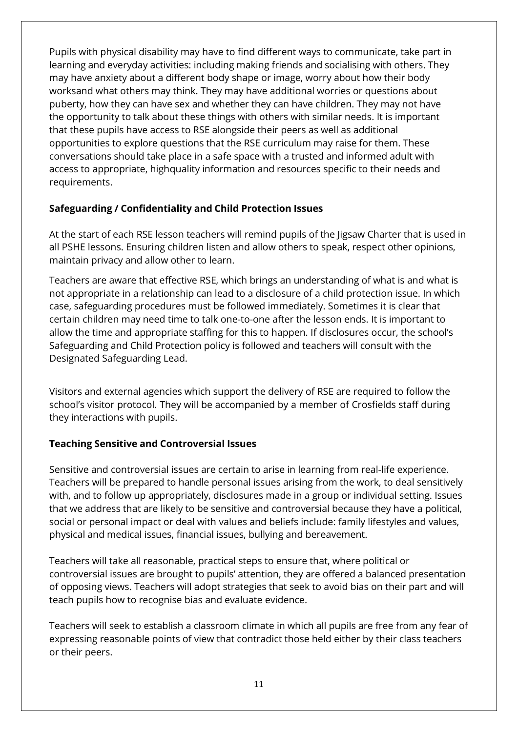Pupils with physical disability may have to find different ways to communicate, take part in learning and everyday activities: including making friends and socialising with others. They may have anxiety about a different body shape or image, worry about how their body worksand what others may think. They may have additional worries or questions about puberty, how they can have sex and whether they can have children. They may not have the opportunity to talk about these things with others with similar needs. It is important that these pupils have access to RSE alongside their peers as well as additional opportunities to explore questions that the RSE curriculum may raise for them. These conversations should take place in a safe space with a trusted and informed adult with access to appropriate, highquality information and resources specific to their needs and requirements.

#### <span id="page-10-0"></span>**Safeguarding / Confidentiality and Child Protection Issues**

At the start of each RSE lesson teachers will remind pupils of the Jigsaw Charter that is used in all PSHE lessons. Ensuring children listen and allow others to speak, respect other opinions, maintain privacy and allow other to learn.

Teachers are aware that effective RSE, which brings an understanding of what is and what is not appropriate in a relationship can lead to a disclosure of a child protection issue. In which case, safeguarding procedures must be followed immediately. Sometimes it is clear that certain children may need time to talk one-to-one after the lesson ends. It is important to allow the time and appropriate staffing for this to happen. If disclosures occur, the school's Safeguarding and Child Protection policy is followed and teachers will consult with the Designated Safeguarding Lead.

Visitors and external agencies which support the delivery of RSE are required to follow the school's visitor protocol. They will be accompanied by a member of Crosfields staff during they interactions with pupils.

#### <span id="page-10-1"></span>**Teaching Sensitive and Controversial Issues**

Sensitive and controversial issues are certain to arise in learning from real-life experience. Teachers will be prepared to handle personal issues arising from the work, to deal sensitively with, and to follow up appropriately, disclosures made in a group or individual setting. Issues that we address that are likely to be sensitive and controversial because they have a political, social or personal impact or deal with values and beliefs include: family lifestyles and values, physical and medical issues, financial issues, bullying and bereavement.

Teachers will take all reasonable, practical steps to ensure that, where political or controversial issues are brought to pupils' attention, they are offered a balanced presentation of opposing views. Teachers will adopt strategies that seek to avoid bias on their part and will teach pupils how to recognise bias and evaluate evidence.

Teachers will seek to establish a classroom climate in which all pupils are free from any fear of expressing reasonable points of view that contradict those held either by their class teachers or their peers.